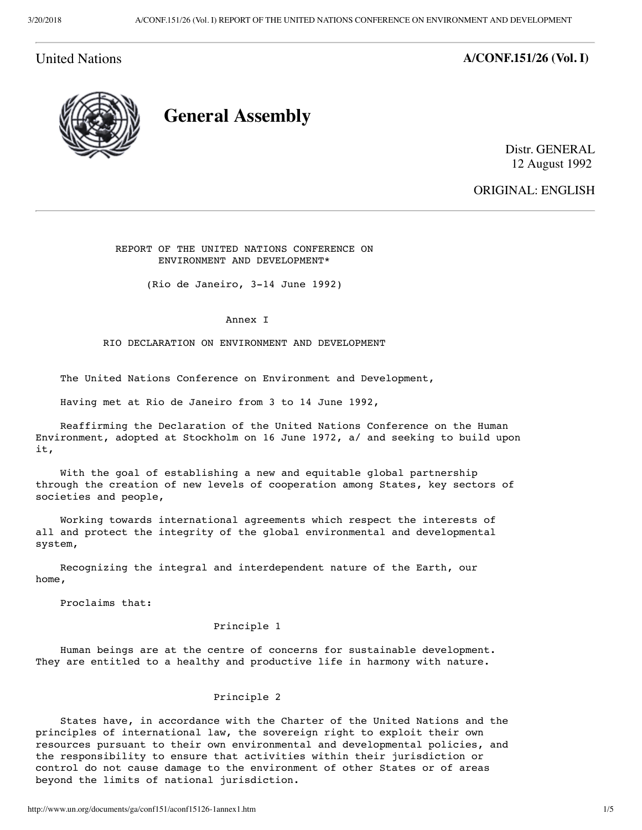United Nations **A/CONF.151/26 (Vol. I)**



**General Assembly**

Distr. GENERAL 12 August 1992

ORIGINAL: ENGLISH

 REPORT OF THE UNITED NATIONS CONFERENCE ON ENVIRONMENT AND DEVELOPMENT\*

(Rio de Janeiro, 3-14 June 1992)

Annex I

RIO DECLARATION ON ENVIRONMENT AND DEVELOPMENT

The United Nations Conference on Environment and Development,

Having met at Rio de Janeiro from 3 to 14 June 1992,

 Reaffirming the Declaration of the United Nations Conference on the Human Environment, adopted at Stockholm on 16 June 1972, a/ and seeking to build upon it,

 With the goal of establishing a new and equitable global partnership through the creation of new levels of cooperation among States, key sectors of societies and people,

 Working towards international agreements which respect the interests of all and protect the integrity of the global environmental and developmental system,

 Recognizing the integral and interdependent nature of the Earth, our home,

Proclaims that:

# Principle 1

 Human beings are at the centre of concerns for sustainable development. They are entitled to a healthy and productive life in harmony with nature.

## Principle 2

 States have, in accordance with the Charter of the United Nations and the principles of international law, the sovereign right to exploit their own resources pursuant to their own environmental and developmental policies, and the responsibility to ensure that activities within their jurisdiction or control do not cause damage to the environment of other States or of areas beyond the limits of national jurisdiction.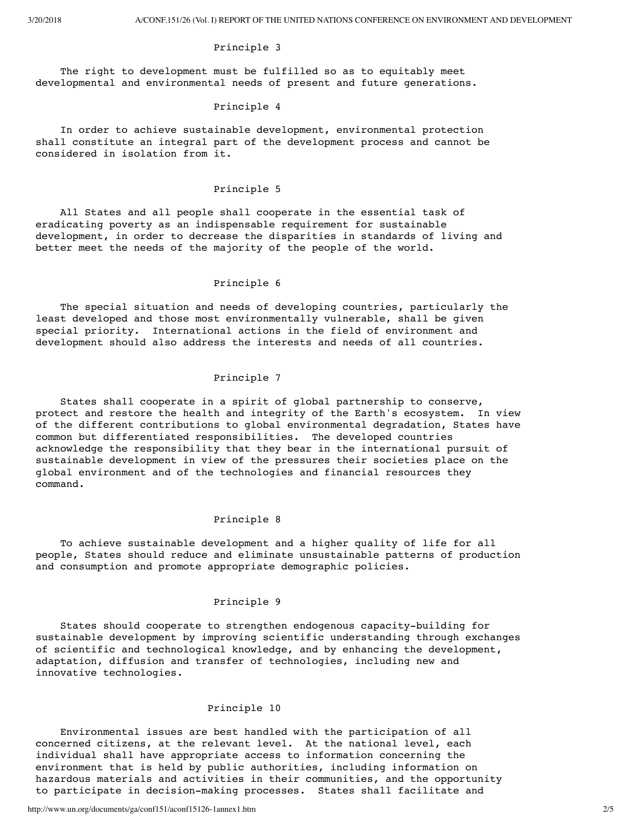## Principle 3

 The right to development must be fulfilled so as to equitably meet developmental and environmental needs of present and future generations.

## Principle 4

 In order to achieve sustainable development, environmental protection shall constitute an integral part of the development process and cannot be considered in isolation from it.

# Principle 5

 All States and all people shall cooperate in the essential task of eradicating poverty as an indispensable requirement for sustainable development, in order to decrease the disparities in standards of living and better meet the needs of the majority of the people of the world.

## Principle 6

 The special situation and needs of developing countries, particularly the least developed and those most environmentally vulnerable, shall be given special priority. International actions in the field of environment and development should also address the interests and needs of all countries.

# Principle 7

 States shall cooperate in a spirit of global partnership to conserve, protect and restore the health and integrity of the Earth's ecosystem. In view of the different contributions to global environmental degradation, States have common but differentiated responsibilities. The developed countries acknowledge the responsibility that they bear in the international pursuit of sustainable development in view of the pressures their societies place on the global environment and of the technologies and financial resources they command.

#### Principle 8

 To achieve sustainable development and a higher quality of life for all people, States should reduce and eliminate unsustainable patterns of production and consumption and promote appropriate demographic policies.

## Principle 9

 States should cooperate to strengthen endogenous capacity-building for sustainable development by improving scientific understanding through exchanges of scientific and technological knowledge, and by enhancing the development, adaptation, diffusion and transfer of technologies, including new and innovative technologies.

## Principle 10

 Environmental issues are best handled with the participation of all concerned citizens, at the relevant level. At the national level, each individual shall have appropriate access to information concerning the environment that is held by public authorities, including information on hazardous materials and activities in their communities, and the opportunity to participate in decision-making processes. States shall facilitate and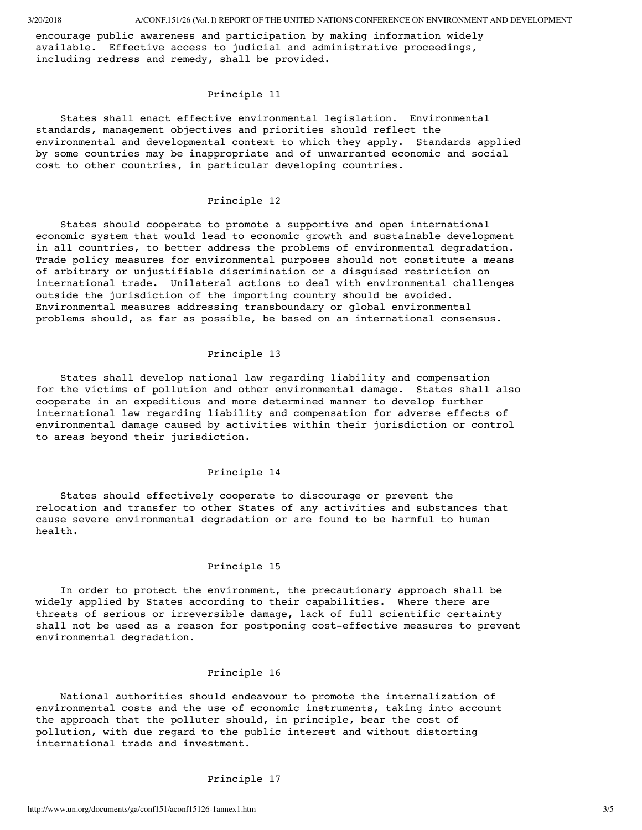encourage public awareness and participation by making information widely available. Effective access to judicial and administrative proceedings, including redress and remedy, shall be provided.

## Principle 11

 States shall enact effective environmental legislation. Environmental standards, management objectives and priorities should reflect the environmental and developmental context to which they apply. Standards applied by some countries may be inappropriate and of unwarranted economic and social cost to other countries, in particular developing countries.

# Principle 12

 States should cooperate to promote a supportive and open international economic system that would lead to economic growth and sustainable development in all countries, to better address the problems of environmental degradation. Trade policy measures for environmental purposes should not constitute a means of arbitrary or unjustifiable discrimination or a disguised restriction on international trade. Unilateral actions to deal with environmental challenges outside the jurisdiction of the importing country should be avoided. Environmental measures addressing transboundary or global environmental problems should, as far as possible, be based on an international consensus.

#### Principle 13

 States shall develop national law regarding liability and compensation for the victims of pollution and other environmental damage. States shall also cooperate in an expeditious and more determined manner to develop further international law regarding liability and compensation for adverse effects of environmental damage caused by activities within their jurisdiction or control to areas beyond their jurisdiction.

## Principle 14

 States should effectively cooperate to discourage or prevent the relocation and transfer to other States of any activities and substances that cause severe environmental degradation or are found to be harmful to human health.

# Principle 15

 In order to protect the environment, the precautionary approach shall be widely applied by States according to their capabilities. Where there are threats of serious or irreversible damage, lack of full scientific certainty shall not be used as a reason for postponing cost-effective measures to prevent environmental degradation.

## Principle 16

 National authorities should endeavour to promote the internalization of environmental costs and the use of economic instruments, taking into account the approach that the polluter should, in principle, bear the cost of pollution, with due regard to the public interest and without distorting international trade and investment.

# Principle 17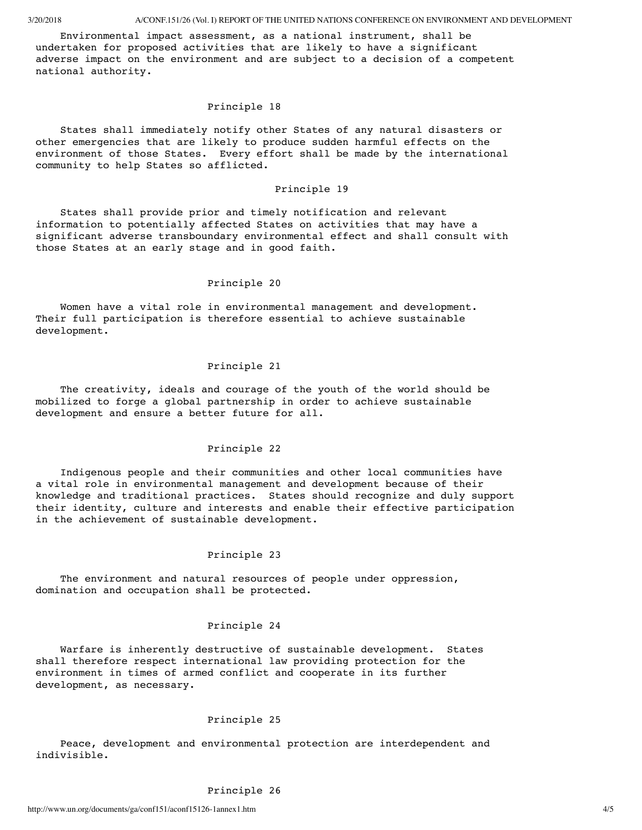Environmental impact assessment, as a national instrument, shall be undertaken for proposed activities that are likely to have a significant adverse impact on the environment and are subject to a decision of a competent national authority.

#### Principle 18

 States shall immediately notify other States of any natural disasters or other emergencies that are likely to produce sudden harmful effects on the environment of those States. Every effort shall be made by the international community to help States so afflicted.

## Principle 19

 States shall provide prior and timely notification and relevant information to potentially affected States on activities that may have a significant adverse transboundary environmental effect and shall consult with those States at an early stage and in good faith.

## Principle 20

 Women have a vital role in environmental management and development. Their full participation is therefore essential to achieve sustainable development.

## Principle 21

 The creativity, ideals and courage of the youth of the world should be mobilized to forge a global partnership in order to achieve sustainable development and ensure a better future for all.

## Principle 22

 Indigenous people and their communities and other local communities have a vital role in environmental management and development because of their knowledge and traditional practices. States should recognize and duly support their identity, culture and interests and enable their effective participation in the achievement of sustainable development.

#### Principle 23

 The environment and natural resources of people under oppression, domination and occupation shall be protected.

## Principle 24

 Warfare is inherently destructive of sustainable development. States shall therefore respect international law providing protection for the environment in times of armed conflict and cooperate in its further development, as necessary.

# Principle 25

 Peace, development and environmental protection are interdependent and indivisible.

# Principle 26